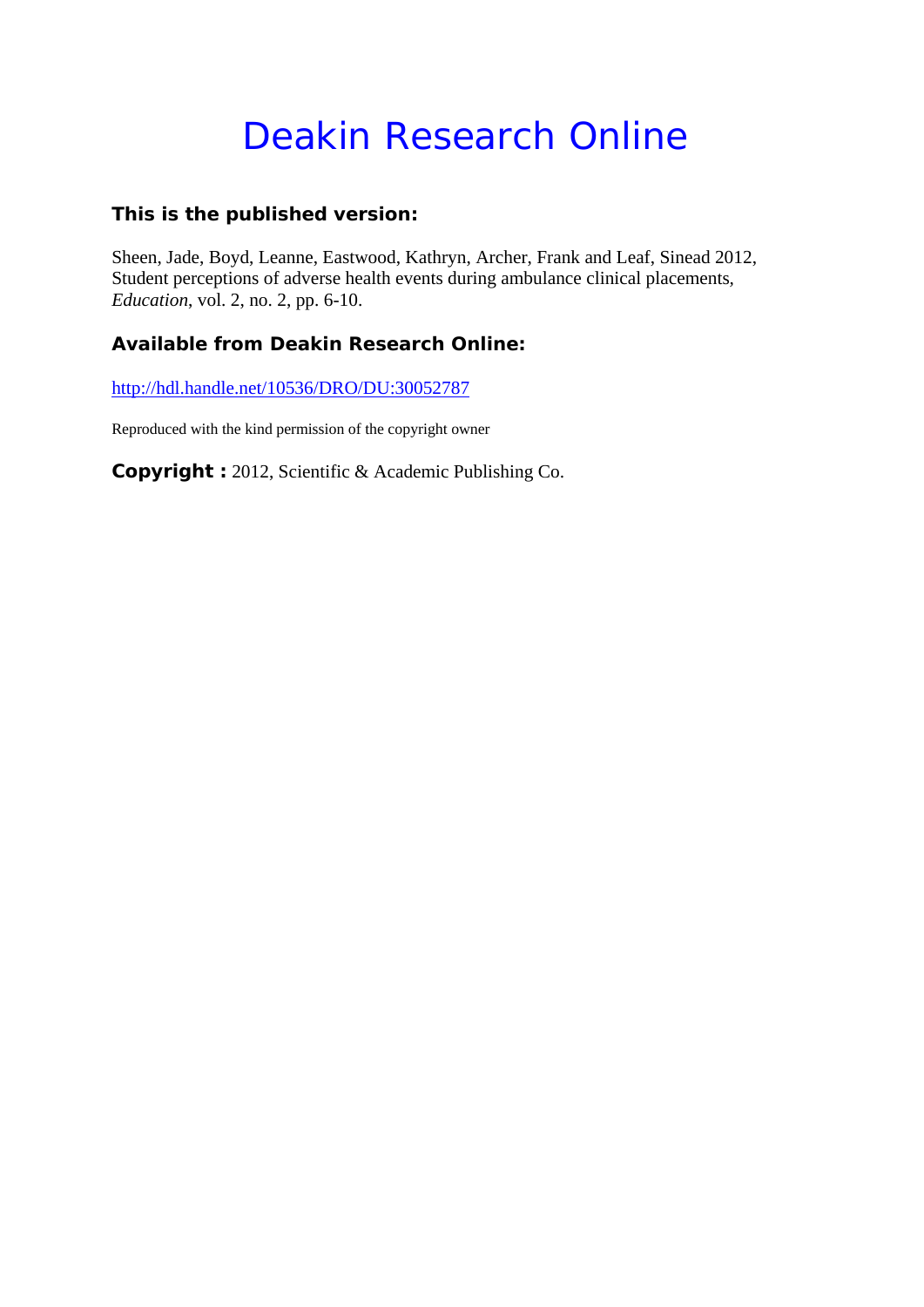# Deakin Research Online

## **This is the published version:**

Sheen, Jade, Boyd, Leanne, Eastwood, Kathryn, Archer, Frank and Leaf, Sinead 2012, Student perceptions of adverse health events during ambulance clinical placements*, Education*, vol. 2, no. 2, pp. 6-10.

## **Available from Deakin Research Online:**

http://hdl.handle.net/10536/DRO/DU:30052787

Reproduced with the kind permission of the copyright owner

**Copyright :** 2012, Scientific & Academic Publishing Co.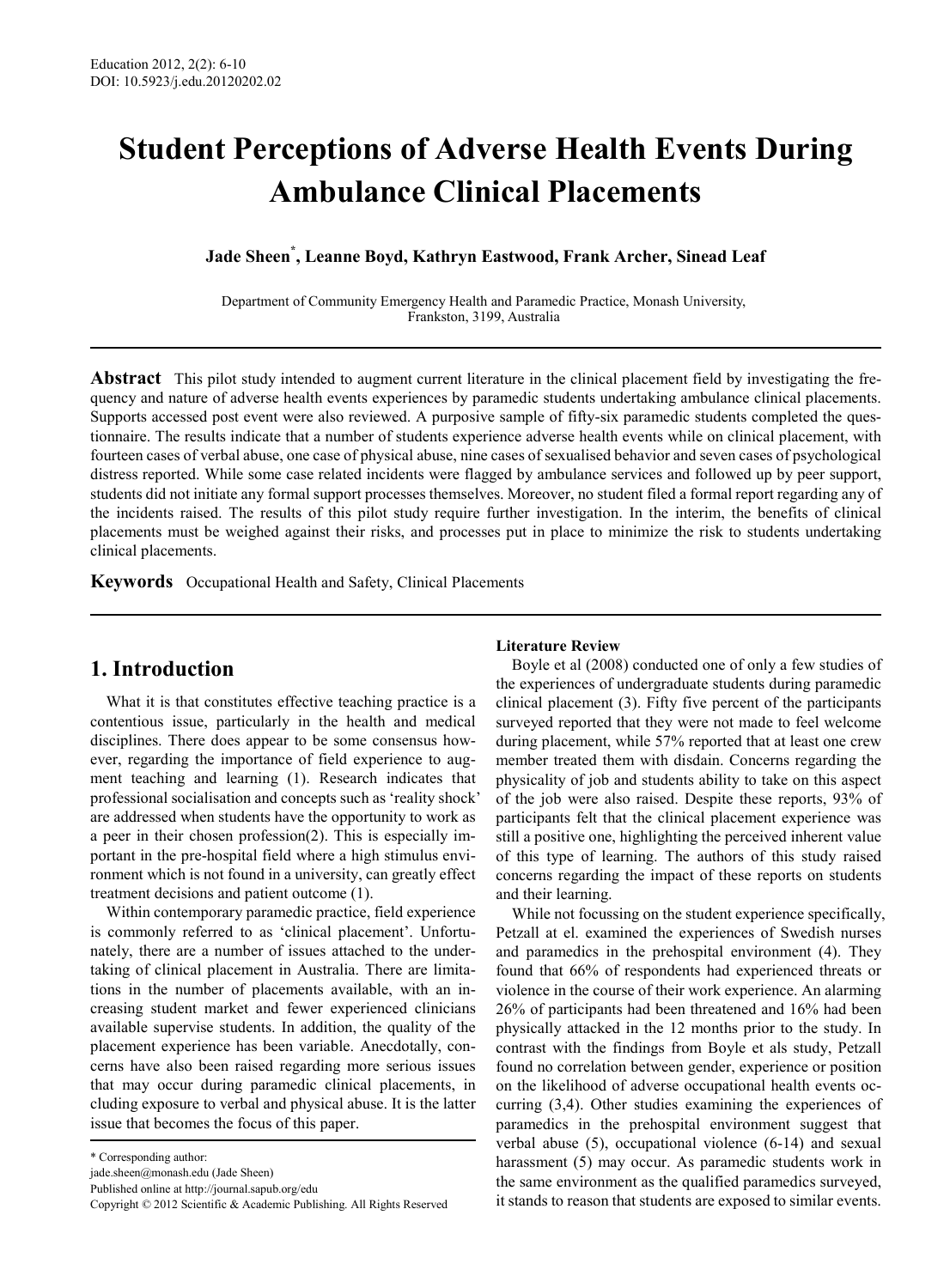## **Student Perceptions of Adverse Health Events During Ambulance Clinical Placements**

## **Jade Sheen\* , Leanne Boyd, Kathryn Eastwood, Frank Archer, Sinead Leaf**

Department of Community Emergency Health and Paramedic Practice, Monash University, Frankston, 3199, Australia

**Abstract** This pilot study intended to augment current literature in the clinical placement field by investigating the frequency and nature of adverse health events experiences by paramedic students undertaking ambulance clinical placements. Supports accessed post event were also reviewed. A purposive sample of fifty-six paramedic students completed the questionnaire. The results indicate that a number of students experience adverse health events while on clinical placement, with fourteen cases of verbal abuse, one case of physical abuse, nine cases of sexualised behavior and seven cases of psychological distress reported. While some case related incidents were flagged by ambulance services and followed up by peer support, students did not initiate any formal support processes themselves. Moreover, no student filed a formal report regarding any of the incidents raised. The results of this pilot study require further investigation. In the interim, the benefits of clinical placements must be weighed against their risks, and processes put in place to minimize the risk to students undertaking clinical placements.

**Keywords** Occupational Health and Safety, Clinical Placements

## **1. Introduction**

What it is that constitutes effective teaching practice is a contentious issue, particularly in the health and medical disciplines. There does appear to be some consensus however, regarding the importance of field experience to augment teaching and learning (1). Research indicates that professional socialisation and concepts such as 'reality shock' are addressed when students have the opportunity to work as a peer in their chosen profession(2). This is especially important in the pre-hospital field where a high stimulus environment which is not found in a university, can greatly effect treatment decisions and patient outcome (1).

Within contemporary paramedic practice, field experience is commonly referred to as 'clinical placement'. Unfortunately, there are a number of issues attached to the undertaking of clinical placement in Australia. There are limitations in the number of placements available, with an increasing student market and fewer experienced clinicians available supervise students. In addition, the quality of the placement experience has been variable. Anecdotally, concerns have also been raised regarding more serious issues that may occur during paramedic clinical placements, in cluding exposure to verbal and physical abuse. It is the latter issue that becomes the focus of this paper.

\* Corresponding author:

jade.sheen@monash.edu (Jade Sheen)

#### **Literature Review**

Boyle et al (2008) conducted one of only a few studies of the experiences of undergraduate students during paramedic clinical placement (3). Fifty five percent of the participants surveyed reported that they were not made to feel welcome during placement, while 57% reported that at least one crew member treated them with disdain. Concerns regarding the physicality of job and students ability to take on this aspect of the job were also raised. Despite these reports, 93% of participants felt that the clinical placement experience was still a positive one, highlighting the perceived inherent value of this type of learning. The authors of this study raised concerns regarding the impact of these reports on students and their learning.

While not focussing on the student experience specifically, Petzall at el. examined the experiences of Swedish nurses and paramedics in the prehospital environment (4). They found that 66% of respondents had experienced threats or violence in the course of their work experience. An alarming 26% of participants had been threatened and 16% had been physically attacked in the 12 months prior to the study. In contrast with the findings from Boyle et als study, Petzall found no correlation between gender, experience or position on the likelihood of adverse occupational health events occurring (3,4). Other studies examining the experiences of paramedics in the prehospital environment suggest that verbal abuse (5), occupational violence (6-14) and sexual harassment (5) may occur. As paramedic students work in the same environment as the qualified paramedics surveyed, it stands to reason that students are exposed to similar events.

Published online at http://journal.sapub.org/edu

Copyright © 2012 Scientific & Academic Publishing. All Rights Reserved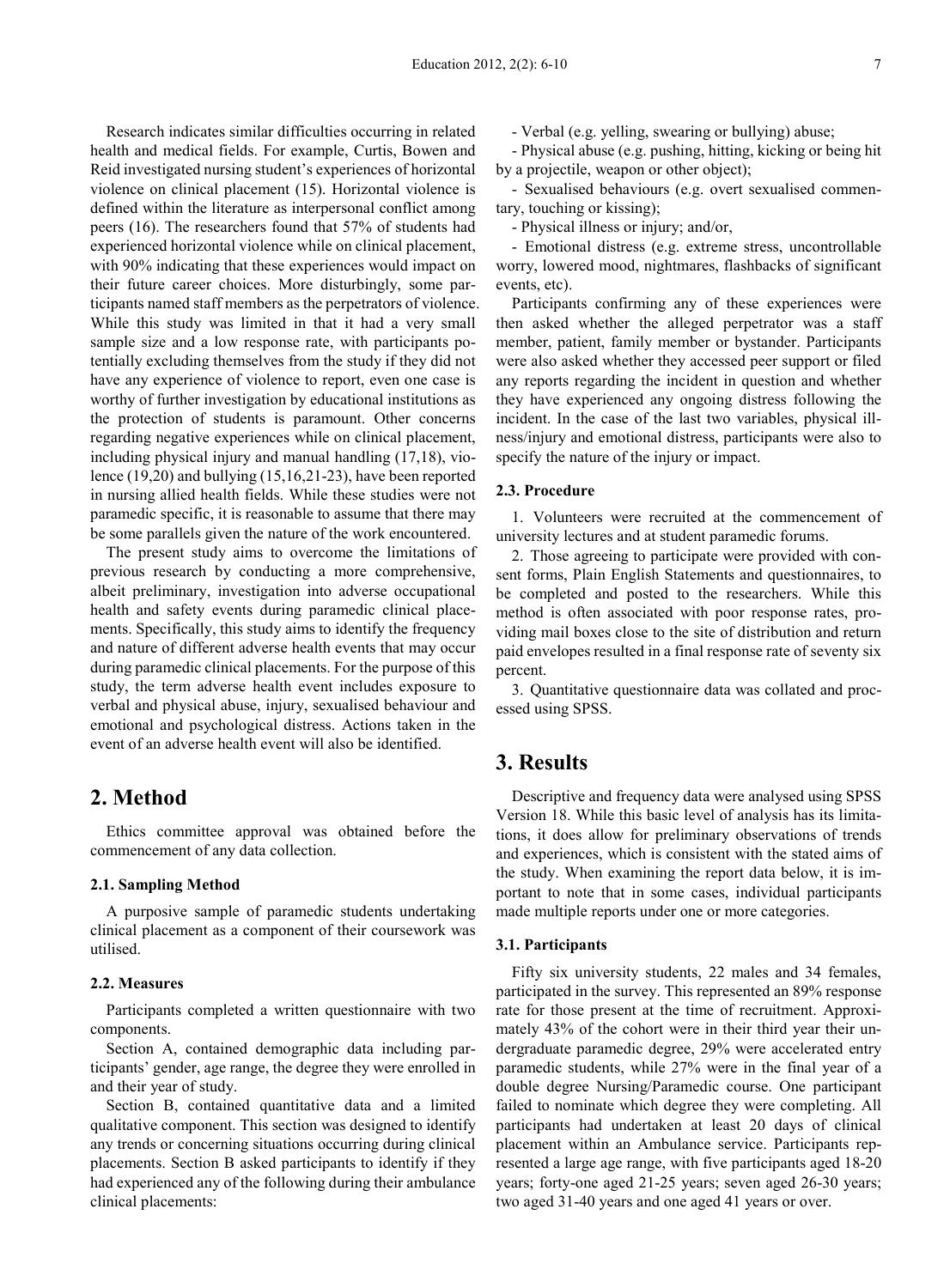Research indicates similar difficulties occurring in related health and medical fields. For example, Curtis, Bowen and Reid investigated nursing student's experiences of horizontal violence on clinical placement (15). Horizontal violence is defined within the literature as interpersonal conflict among peers (16). The researchers found that 57% of students had experienced horizontal violence while on clinical placement, with 90% indicating that these experiences would impact on their future career choices. More disturbingly, some participants named staff members as the perpetrators of violence. While this study was limited in that it had a very small sample size and a low response rate, with participants potentially excluding themselves from the study if they did not have any experience of violence to report, even one case is worthy of further investigation by educational institutions as the protection of students is paramount. Other concerns regarding negative experiences while on clinical placement, including physical injury and manual handling (17,18), violence (19,20) and bullying (15,16,21-23), have been reported in nursing allied health fields. While these studies were not paramedic specific, it is reasonable to assume that there may be some parallels given the nature of the work encountered.

The present study aims to overcome the limitations of previous research by conducting a more comprehensive, albeit preliminary, investigation into adverse occupational health and safety events during paramedic clinical placements. Specifically, this study aims to identify the frequency and nature of different adverse health events that may occur during paramedic clinical placements. For the purpose of this study, the term adverse health event includes exposure to verbal and physical abuse, injury, sexualised behaviour and emotional and psychological distress. Actions taken in the event of an adverse health event will also be identified.

## **2. Method**

Ethics committee approval was obtained before the commencement of any data collection.

#### **2.1. Sampling Method**

A purposive sample of paramedic students undertaking clinical placement as a component of their coursework was utilised.

#### **2.2. Measures**

Participants completed a written questionnaire with two components.

Section A, contained demographic data including participants' gender, age range, the degree they were enrolled in and their year of study.

Section B, contained quantitative data and a limited qualitative component. This section was designed to identify any trends or concerning situations occurring during clinical placements. Section B asked participants to identify if they had experienced any of the following during their ambulance clinical placements:

- Verbal (e.g. yelling, swearing or bullying) abuse;

- Physical abuse (e.g. pushing, hitting, kicking or being hit by a projectile, weapon or other object);

- Sexualised behaviours (e.g. overt sexualised commentary, touching or kissing);

- Physical illness or injury; and/or,

- Emotional distress (e.g. extreme stress, uncontrollable worry, lowered mood, nightmares, flashbacks of significant events, etc).

Participants confirming any of these experiences were then asked whether the alleged perpetrator was a staff member, patient, family member or bystander. Participants were also asked whether they accessed peer support or filed any reports regarding the incident in question and whether they have experienced any ongoing distress following the incident. In the case of the last two variables, physical illness/injury and emotional distress, participants were also to specify the nature of the injury or impact.

#### **2.3. Procedure**

1. Volunteers were recruited at the commencement of university lectures and at student paramedic forums.

2. Those agreeing to participate were provided with consent forms, Plain English Statements and questionnaires, to be completed and posted to the researchers. While this method is often associated with poor response rates, providing mail boxes close to the site of distribution and return paid envelopes resulted in a final response rate of seventy six percent.

3. Quantitative questionnaire data was collated and processed using SPSS.

## **3. Results**

Descriptive and frequency data were analysed using SPSS Version 18. While this basic level of analysis has its limitations, it does allow for preliminary observations of trends and experiences, which is consistent with the stated aims of the study. When examining the report data below, it is important to note that in some cases, individual participants made multiple reports under one or more categories.

#### **3.1. Participants**

Fifty six university students, 22 males and 34 females, participated in the survey. This represented an 89% response rate for those present at the time of recruitment. Approximately 43% of the cohort were in their third year their undergraduate paramedic degree, 29% were accelerated entry paramedic students, while 27% were in the final year of a double degree Nursing/Paramedic course. One participant failed to nominate which degree they were completing. All participants had undertaken at least 20 days of clinical placement within an Ambulance service. Participants represented a large age range, with five participants aged 18-20 years; forty-one aged 21-25 years; seven aged 26-30 years; two aged 31-40 years and one aged 41 years or over.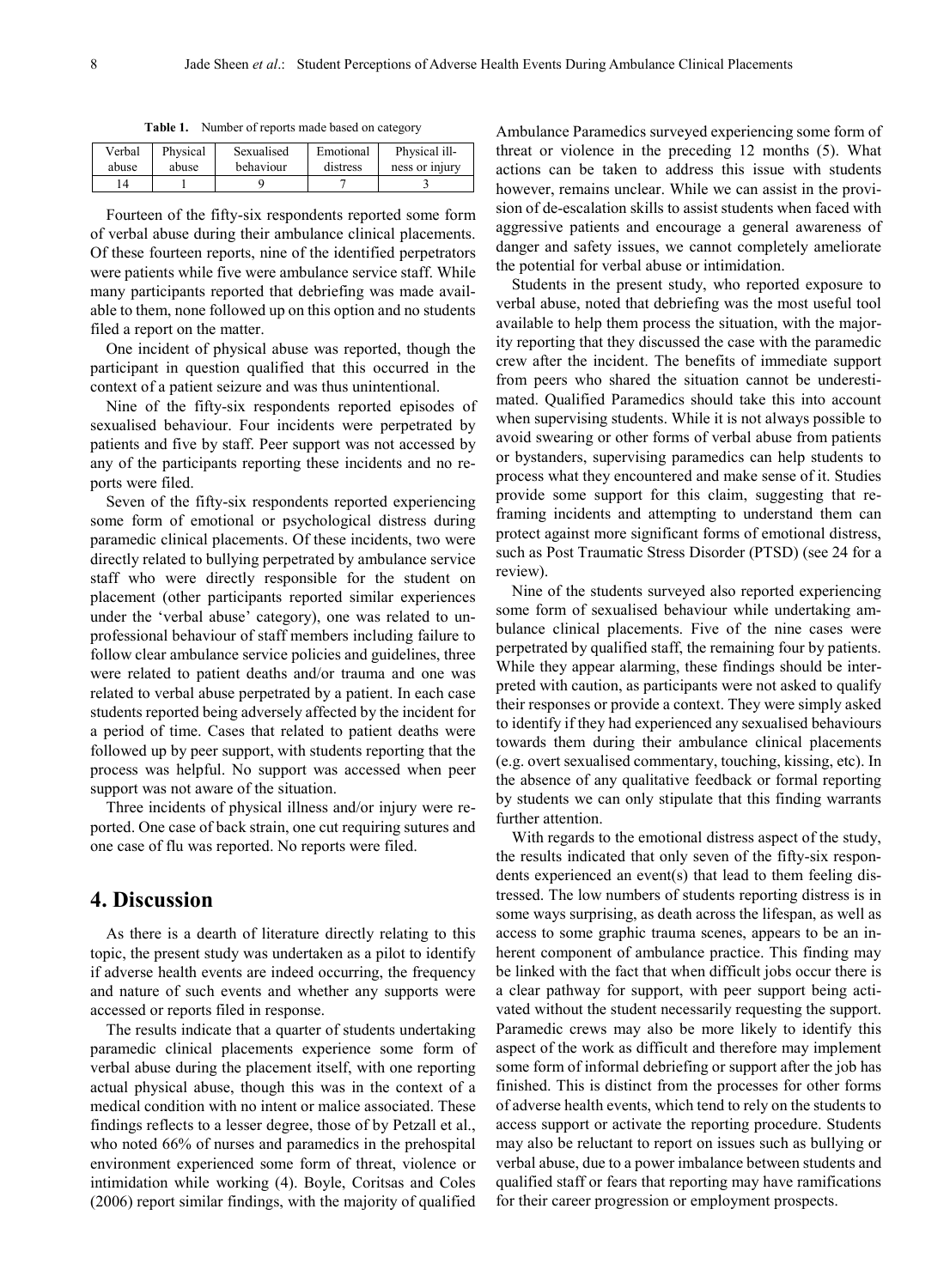| Verbal         | Physical | Sexualised | Emotional | Physical ill-  |
|----------------|----------|------------|-----------|----------------|
| abuse          | abuse    | behaviour  | distress  | ness or injury |
| $\overline{4}$ |          |            |           |                |

**Table 1.** Number of reports made based on category

Fourteen of the fifty-six respondents reported some form of verbal abuse during their ambulance clinical placements. Of these fourteen reports, nine of the identified perpetrators were patients while five were ambulance service staff. While many participants reported that debriefing was made available to them, none followed up on this option and no students filed a report on the matter.

One incident of physical abuse was reported, though the participant in question qualified that this occurred in the context of a patient seizure and was thus unintentional.

Nine of the fifty-six respondents reported episodes of sexualised behaviour. Four incidents were perpetrated by patients and five by staff. Peer support was not accessed by any of the participants reporting these incidents and no reports were filed.

Seven of the fifty-six respondents reported experiencing some form of emotional or psychological distress during paramedic clinical placements. Of these incidents, two were directly related to bullying perpetrated by ambulance service staff who were directly responsible for the student on placement (other participants reported similar experiences under the 'verbal abuse' category), one was related to unprofessional behaviour of staff members including failure to follow clear ambulance service policies and guidelines, three were related to patient deaths and/or trauma and one was related to verbal abuse perpetrated by a patient. In each case students reported being adversely affected by the incident for a period of time. Cases that related to patient deaths were followed up by peer support, with students reporting that the process was helpful. No support was accessed when peer support was not aware of the situation.

Three incidents of physical illness and/or injury were reported. One case of back strain, one cut requiring sutures and one case of flu was reported. No reports were filed.

## **4. Discussion**

As there is a dearth of literature directly relating to this topic, the present study was undertaken as a pilot to identify if adverse health events are indeed occurring, the frequency and nature of such events and whether any supports were accessed or reports filed in response.

The results indicate that a quarter of students undertaking paramedic clinical placements experience some form of verbal abuse during the placement itself, with one reporting actual physical abuse, though this was in the context of a medical condition with no intent or malice associated. These findings reflects to a lesser degree, those of by Petzall et al., who noted  $66\%$  of nurses and paramedics in the prehospital environment experienced some form of threat, violence or intimidation while working (4). Boyle, Coritsas and Coles (2006) report similar findings, with the majority of qualified

Ambulance Paramedics surveyed experiencing some form of threat or violence in the preceding 12 months (5). What actions can be taken to address this issue with students however, remains unclear. While we can assist in the provision of de-escalation skills to assist students when faced with aggressive patients and encourage a general awareness of danger and safety issues, we cannot completely ameliorate the potential for verbal abuse or intimidation.

Students in the present study, who reported exposure to verbal abuse, noted that debriefing was the most useful tool available to help them process the situation, with the majority reporting that they discussed the case with the paramedic crew after the incident. The benefits of immediate support from peers who shared the situation cannot be underestimated. Qualified Paramedics should take this into account when supervising students. While it is not always possible to avoid swearing or other forms of verbal abuse from patients or bystanders, supervising paramedics can help students to process what they encountered and make sense of it. Studies provide some support for this claim, suggesting that reframing incidents and attempting to understand them can protect against more significant forms of emotional distress, such as Post Traumatic Stress Disorder (PTSD) (see 24 for a review).

Nine of the students surveyed also reported experiencing some form of sexualised behaviour while undertaking ambulance clinical placements. Five of the nine cases were perpetrated by qualified staff, the remaining four by patients. While they appear alarming, these findings should be interpreted with caution, as participants were not asked to qualify their responses or provide a context. They were simply asked to identify if they had experienced any sexualised behaviours towards them during their ambulance clinical placements (e.g. overt sexualised commentary, touching, kissing, etc). In the absence of any qualitative feedback or formal reporting by students we can only stipulate that this finding warrants further attention.

With regards to the emotional distress aspect of the study, the results indicated that only seven of the fifty-six respondents experienced an event(s) that lead to them feeling distressed. The low numbers of students reporting distress is in some ways surprising, as death across the lifespan, as well as access to some graphic trauma scenes, appears to be an inherent component of ambulance practice. This finding may be linked with the fact that when difficult jobs occur there is a clear pathway for support, with peer support being activated without the student necessarily requesting the support. Paramedic crews may also be more likely to identify this aspect of the work as difficult and therefore may implement some form of informal debriefing or support after the job has finished. This is distinct from the processes for other forms of adverse health events, which tend to rely on the students to access support or activate the reporting procedure. Students may also be reluctant to report on issues such as bullying or verbal abuse, due to a power imbalance between students and qualified staff or fears that reporting may have ramifications for their career progression or employment prospects.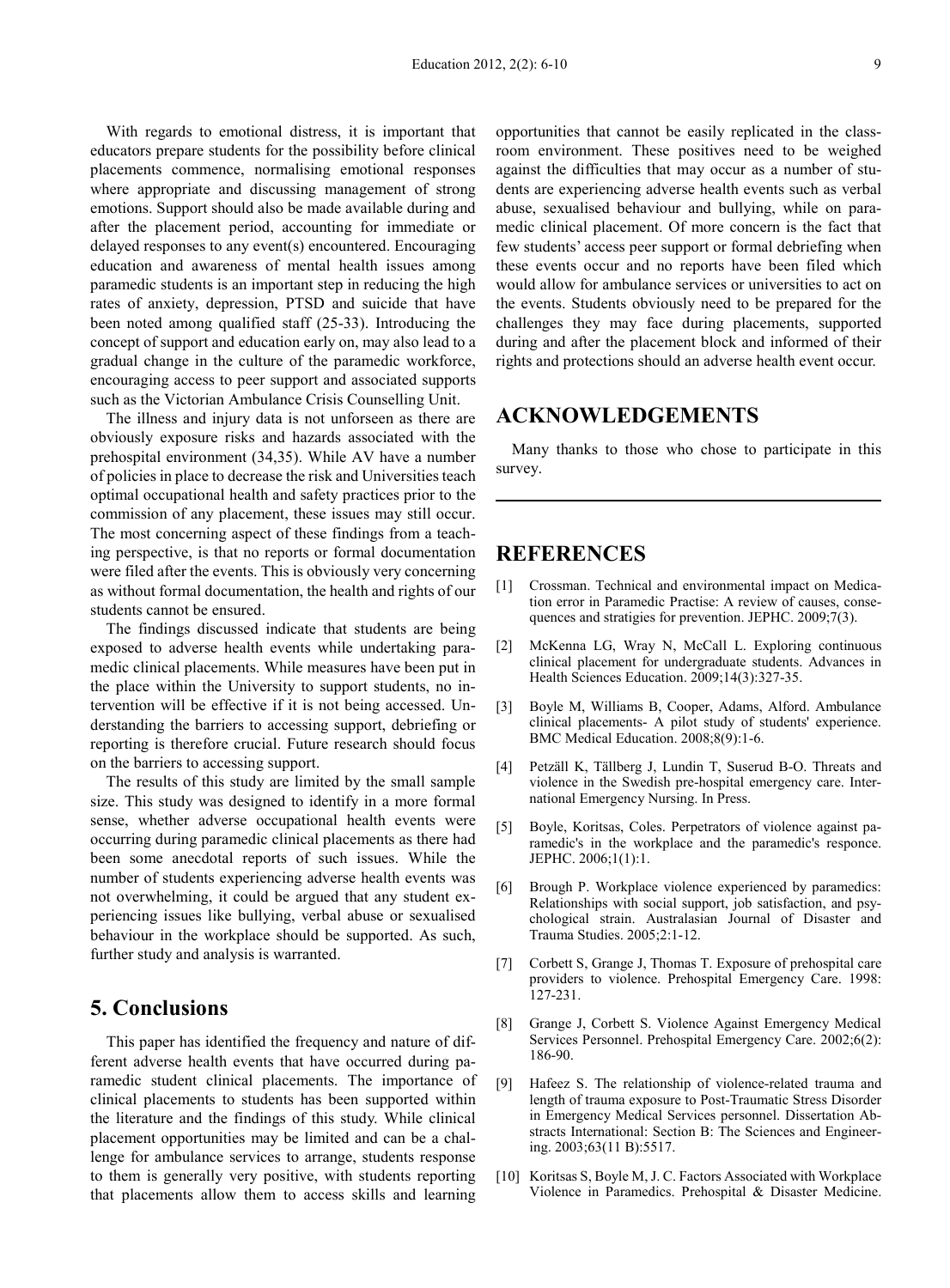With regards to emotional distress, it is important that educators prepare students for the possibility before clinical placements commence, normalising emotional responses where appropriate and discussing management of strong emotions. Support should also be made available during and after the placement period, accounting for immediate or delayed responses to any event(s) encountered. Encouraging education and awareness of mental health issues among paramedic students is an important step in reducing the high rates of anxiety, depression, PTSD and suicide that have been noted among qualified staff (25-33). Introducing the concept of support and education early on, may also lead to a gradual change in the culture of the paramedic workforce, encouraging access to peer support and associated supports such as the Victorian Ambulance Crisis Counselling Unit.

The illness and injury data is not unforseen as there are obviously exposure risks and hazards associated with the prehospital environment (34,35). While AV have a number of policies in place to decrease the risk and Universities teach optimal occupational health and safety practices prior to the commission of any placement, these issues may still occur. The most concerning aspect of these findings from a teaching perspective, is that no reports or formal documentation were filed after the events. This is obviously very concerning as without formal documentation, the health and rights of our students cannot be ensured.

The findings discussed indicate that students are being exposed to adverse health events while undertaking paramedic clinical placements. While measures have been put in the place within the University to support students, no intervention will be effective if it is not being accessed. Understanding the barriers to accessing support, debriefing or reporting is therefore crucial. Future research should focus on the barriers to accessing support.

The results of this study are limited by the small sample size. This study was designed to identify in a more formal sense, whether adverse occupational health events were occurring during paramedic clinical placements as there had been some anecdotal reports of such issues. While the number of students experiencing adverse health events was not overwhelming, it could be argued that any student experiencing issues like bullying, verbal abuse or sexualised behaviour in the workplace should be supported. As such, further study and analysis is warranted.

## **5. Conclusions**

This paper has identified the frequency and nature of different adverse health events that have occurred during paramedic student clinical placements. The importance of clinical placements to students has been supported within the literature and the findings of this study. While clinical placement opportunities may be limited and can be a challenge for ambulance services to arrange, students response to them is generally very positive, with students reporting that placements allow them to access skills and learning

opportunities that cannot be easily replicated in the classroom environment. These positives need to be weighed against the difficulties that may occur as a number of students are experiencing adverse health events such as verbal abuse, sexualised behaviour and bullying, while on paramedic clinical placement. Of more concern is the fact that few students' access peer support or formal debriefing when these events occur and no reports have been filed which would allow for ambulance services or universities to act on the events. Students obviously need to be prepared for the challenges they may face during placements, supported during and after the placement block and informed of their rights and protections should an adverse health event occur.

## **ACKNOWLEDGEMENTS**

Many thanks to those who chose to participate in this survey.

## **REFERENCES**

- [1] Crossman. Technical and environmental impact on Medication error in Paramedic Practise: A review of causes, consequences and stratigies for prevention. JEPHC. 2009;7(3).
- [2] McKenna LG, Wray N, McCall L. Exploring continuous clinical placement for undergraduate students. Advances in Health Sciences Education. 2009;14(3):327-35.
- [3] Boyle M, Williams B, Cooper, Adams, Alford. Ambulance clinical placements- A pilot study of students' experience. BMC Medical Education. 2008;8(9):1-6.
- [4] Petzäll K, Tällberg J, Lundin T, Suserud B-O. Threats and violence in the Swedish pre-hospital emergency care. International Emergency Nursing. In Press.
- [5] Boyle, Koritsas, Coles. Perpetrators of violence against paramedic's in the workplace and the paramedic's responce. JEPHC. 2006;1(1):1.
- [6] Brough P. Workplace violence experienced by paramedics: Relationships with social support, job satisfaction, and psychological strain. Australasian Journal of Disaster and Trauma Studies. 2005;2:1-12.
- [7] Corbett S, Grange J, Thomas T. Exposure of prehospital care providers to violence. Prehospital Emergency Care. 1998: 127-231.
- [8] Grange J, Corbett S. Violence Against Emergency Medical Services Personnel. Prehospital Emergency Care. 2002;6(2): 186-90.
- [9] Hafeez S. The relationship of violence-related trauma and length of trauma exposure to Post-Traumatic Stress Disorder in Emergency Medical Services personnel. Dissertation Abstracts International: Section B: The Sciences and Engineering. 2003;63(11 B):5517.
- [10] Koritsas S, Boyle M, J. C. Factors Associated with Workplace Violence in Paramedics. Prehospital & Disaster Medicine.